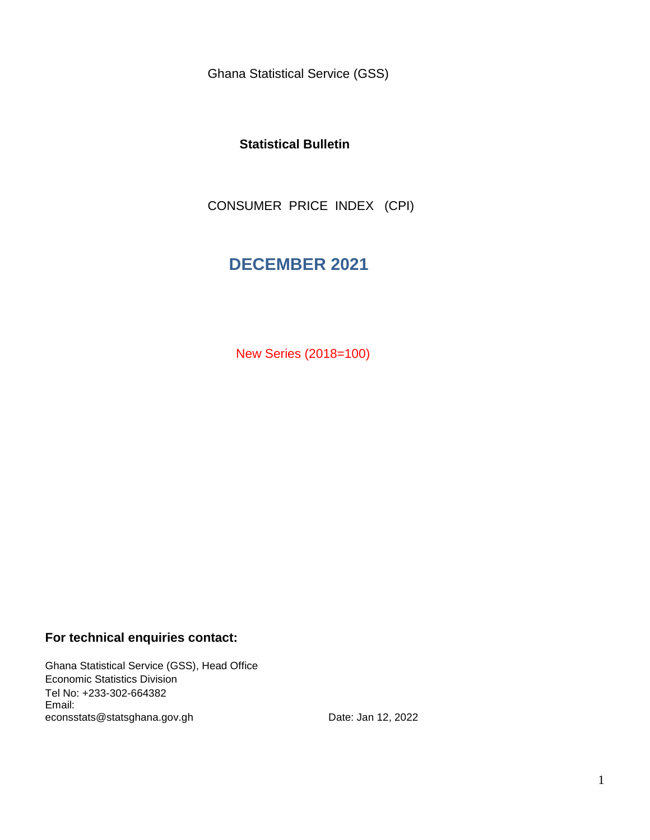Ghana Statistical Service (GSS)

### **Statistical Bulletin**

CONSUMER PRICE INDEX (CPI)

# **DECEMBER 2021**

New Series (2018=100)

### **For technical enquiries contact:**

Ghana Statistical Service (GSS), Head Office Economic Statistics Division Tel No: +233-302-664382 Email: econsstats@statsghana.gov.gh

Date: Jan 12, 2022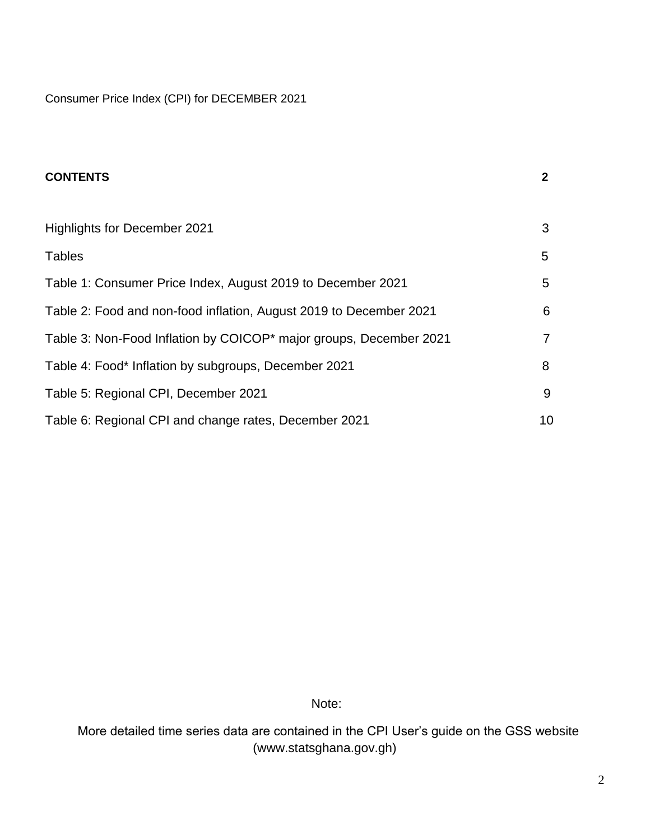Consumer Price Index (CPI) for DECEMBER 2021

| <b>CONTENTS</b>                                                    | $\mathbf{2}$ |
|--------------------------------------------------------------------|--------------|
|                                                                    |              |
| <b>Highlights for December 2021</b>                                | 3            |
| <b>Tables</b>                                                      | 5            |
| Table 1: Consumer Price Index, August 2019 to December 2021        | 5            |
| Table 2: Food and non-food inflation, August 2019 to December 2021 | 6            |
| Table 3: Non-Food Inflation by COICOP* major groups, December 2021 | 7            |
| Table 4: Food* Inflation by subgroups, December 2021               | 8            |
| Table 5: Regional CPI, December 2021                               | 9            |
| Table 6: Regional CPI and change rates, December 2021              | 10           |

Note:

 More detailed time series data are contained in the CPI User's guide on the GSS website (www.statsghana.gov.gh)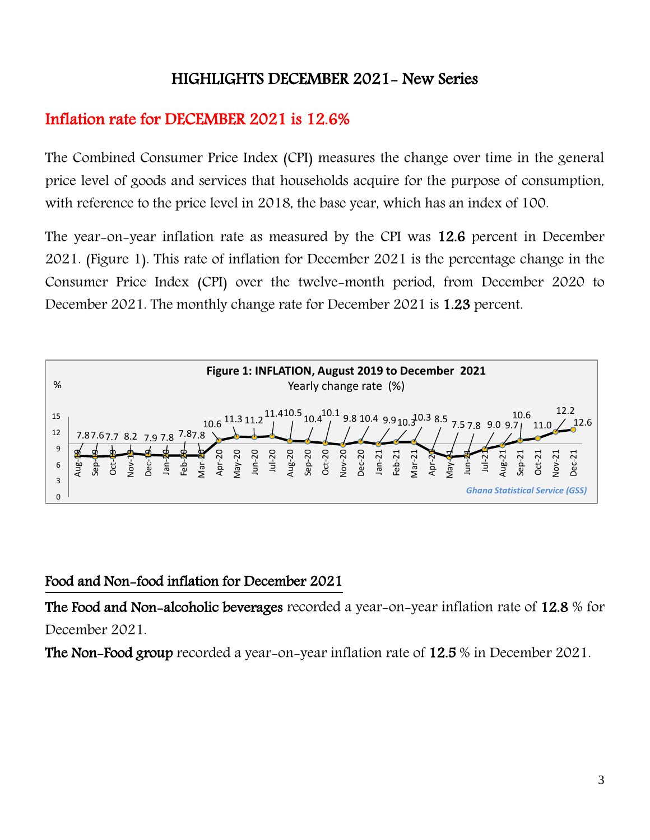# HIGHLIGHTS DECEMBER 2021- New Series

# Inflation rate for DECEMBER 2021 is 12.6%

The Combined Consumer Price Index (CPI) measures the change over time in the general price level of goods and services that households acquire for the purpose of consumption, with reference to the price level in 2018, the base year, which has an index of 100.

The year-on-year inflation rate as measured by the CPI was 12.6 percent in December 2021. (Figure 1). This rate of inflation for December 2021 is the percentage change in the Consumer Price Index (CPI) over the twelve-month period, from December 2020 to December 2021. The monthly change rate for December 2021 is 1.23 percent.



## Food and Non-food inflation for December 2021

The Food and Non-alcoholic beverages recorded a year-on-year inflation rate of 12.8 % for December 2021.

The Non-Food group recorded a year-on-year inflation rate of 12.5 % in December 2021.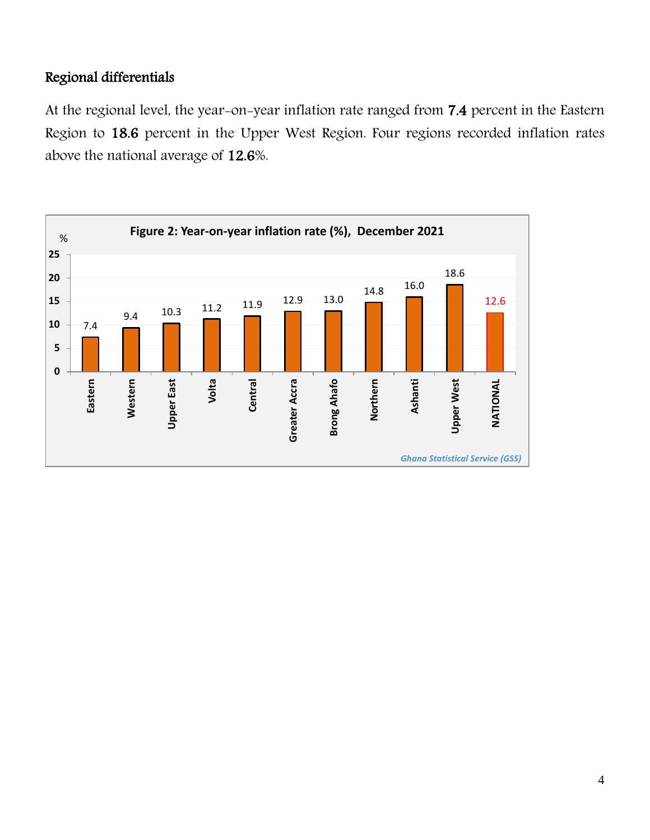## Regional differentials

At the regional level, the year-on-year inflation rate ranged from 7.4 percent in the Eastern Region to 18.6 percent in the Upper West Region. Four regions recorded inflation rates above the national average of 12.6%.

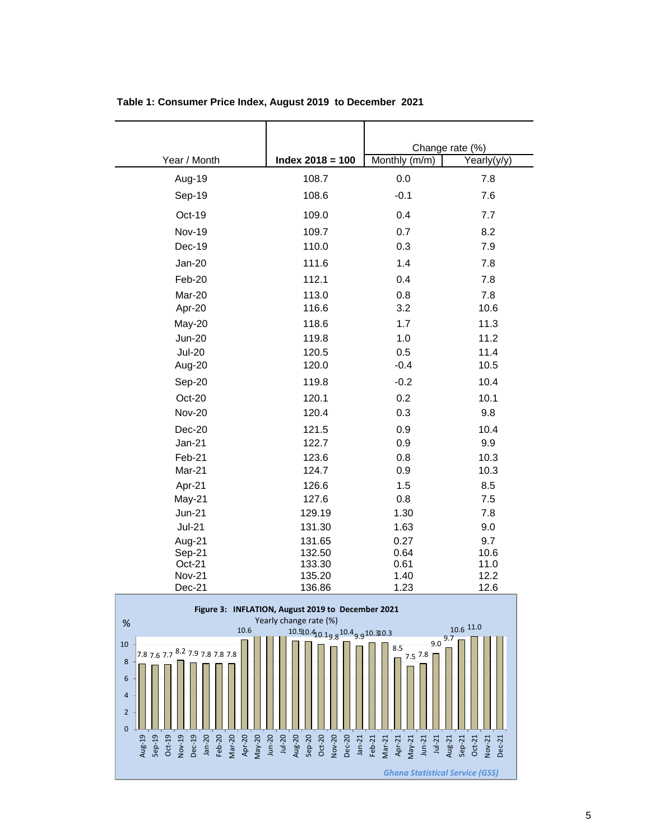|                         |                    |               | Change rate (%)           |  |
|-------------------------|--------------------|---------------|---------------------------|--|
| Year / Month            | Index $2018 = 100$ | Monthly (m/m) | $\overline{Y}$ early(y/y) |  |
| Aug-19                  | 108.7              | 0.0           | 7.8                       |  |
| Sep-19                  | 108.6              | $-0.1$        | 7.6                       |  |
| Oct-19                  | 109.0              | 0.4           | 7.7                       |  |
| <b>Nov-19</b>           | 109.7              | 0.7           | 8.2                       |  |
| Dec-19                  | 110.0              | 0.3           | 7.9                       |  |
| <b>Jan-20</b>           | 111.6              | 1.4           | 7.8                       |  |
| Feb-20                  | 112.1              | 0.4           | 7.8                       |  |
| Mar-20                  | 113.0              | 0.8           | 7.8                       |  |
| Apr-20                  | 116.6              | 3.2           | 10.6                      |  |
| May-20                  | 118.6              | 1.7           | 11.3                      |  |
| <b>Jun-20</b>           | 119.8              | 1.0           | 11.2                      |  |
| <b>Jul-20</b>           | 120.5              | 0.5           | 11.4                      |  |
| Aug-20                  | 120.0              | $-0.4$        | 10.5                      |  |
| Sep-20                  | 119.8              | $-0.2$        | 10.4                      |  |
| Oct-20                  | 120.1              | 0.2           | 10.1                      |  |
| <b>Nov-20</b>           | 120.4              | 0.3           | 9.8                       |  |
| Dec-20                  | 121.5              | 0.9           | 10.4                      |  |
| Jan-21                  | 122.7              | 0.9           | 9.9                       |  |
| Feb-21                  | 123.6              | 0.8           | 10.3                      |  |
| Mar-21                  | 124.7              | 0.9           | 10.3                      |  |
| Apr-21                  | 126.6              | 1.5           | 8.5                       |  |
| May-21                  | 127.6              | 0.8           | 7.5                       |  |
| <b>Jun-21</b>           | 129.19             | 1.30          | 7.8                       |  |
| $Jul-21$                | 131.30             | 1.63          | 9.0                       |  |
| Aug-21                  | 131.65             | 0.27          | 9.7                       |  |
| Sep-21                  | 132.50             | 0.64          | 10.6                      |  |
| Oct-21                  | 133.30             | 0.61          | 11.0                      |  |
| <b>Nov-21</b><br>Dec-21 | 135.20<br>136.86   | 1.40<br>1.23  | 12.2<br>12.6              |  |

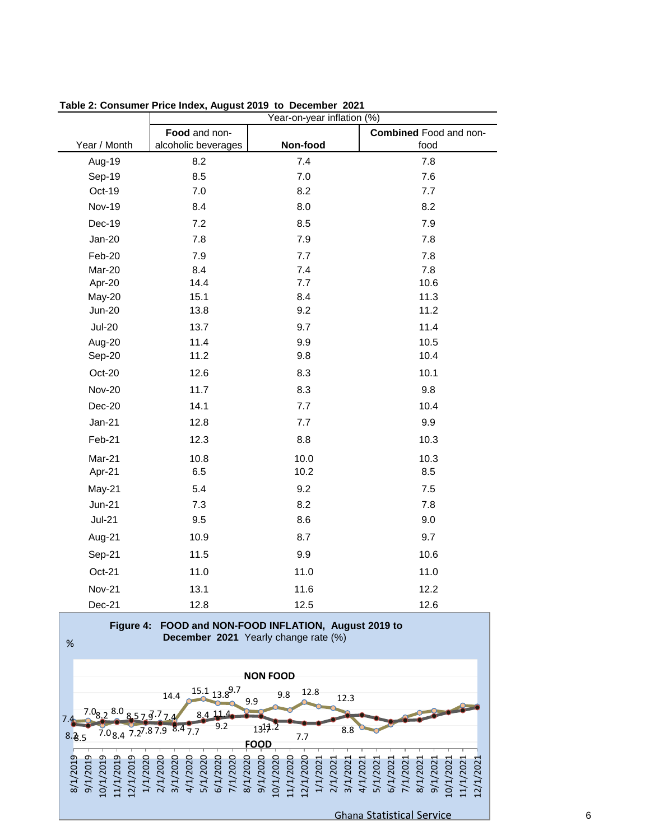|               | Year-on-year inflation (%) |          |                        |  |
|---------------|----------------------------|----------|------------------------|--|
|               | Food and non-              |          | Combined Food and non- |  |
| Year / Month  | alcoholic beverages        | Non-food | food                   |  |
| Aug-19        | 8.2                        | 7.4      | 7.8                    |  |
| Sep-19        | 8.5                        | 7.0      | 7.6                    |  |
| Oct-19        | $7.0$                      | 8.2      | 7.7                    |  |
| <b>Nov-19</b> | 8.4                        | 8.0      | 8.2                    |  |
| Dec-19        | 7.2                        | 8.5      | 7.9                    |  |
| $Jan-20$      | 7.8                        | 7.9      | 7.8                    |  |
| Feb-20        | 7.9                        | 7.7      | 7.8                    |  |
| Mar-20        | 8.4                        | 7.4      | 7.8                    |  |
| Apr-20        | 14.4                       | 7.7      | 10.6                   |  |
| May-20        | 15.1                       | 8.4      | 11.3                   |  |
| <b>Jun-20</b> | 13.8                       | 9.2      | 11.2                   |  |
| <b>Jul-20</b> | 13.7                       | 9.7      | 11.4                   |  |
| Aug-20        | 11.4                       | 9.9      | 10.5                   |  |
| Sep-20        | 11.2                       | 9.8      | 10.4                   |  |
| Oct-20        | 12.6                       | 8.3      | 10.1                   |  |
| <b>Nov-20</b> | 11.7                       | 8.3      | 9.8                    |  |
| Dec-20        | 14.1                       | 7.7      | 10.4                   |  |
| Jan-21        | 12.8                       | 7.7      | 9.9                    |  |
| Feb-21        | 12.3                       | 8.8      | 10.3                   |  |
| Mar-21        | 10.8                       | 10.0     | 10.3                   |  |
| Apr-21        | 6.5                        | 10.2     | 8.5                    |  |
| May-21        | 5.4                        | 9.2      | 7.5                    |  |
| <b>Jun-21</b> | 7.3                        | 8.2      | 7.8                    |  |
| $Jul-21$      | 9.5                        | 8.6      | 9.0                    |  |
| Aug-21        | 10.9                       | 8.7      | 9.7                    |  |
| Sep-21        | 11.5                       | 9.9      | 10.6                   |  |
| Oct-21        | 11.0                       | 11.0     | 11.0                   |  |
| <b>Nov-21</b> | 13.1                       | 11.6     | 12.2                   |  |
| Dec-21        | 12.8                       | 12.5     | 12.6                   |  |

**Table 2: Consumer Price Index, August 2019 to December 2021**

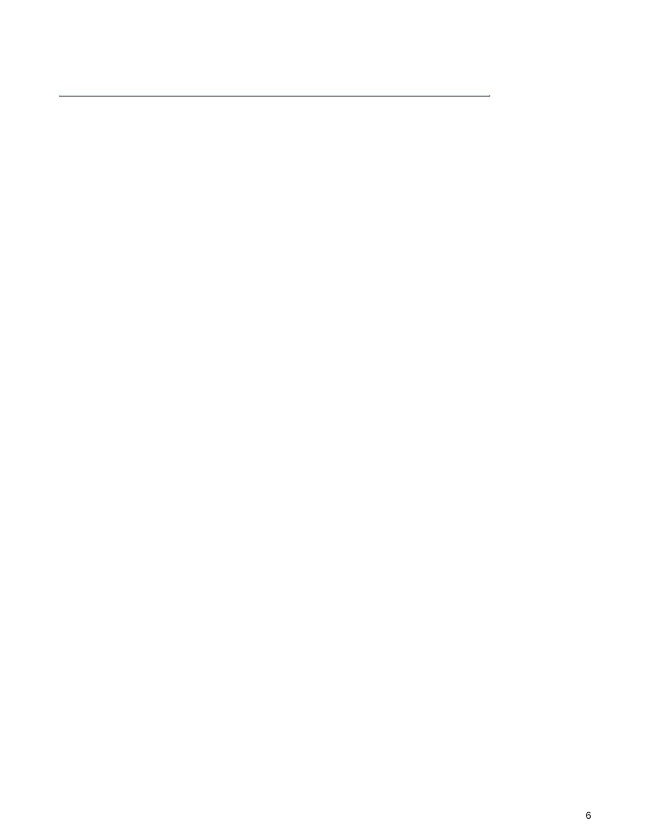6

Ghana Statistical Service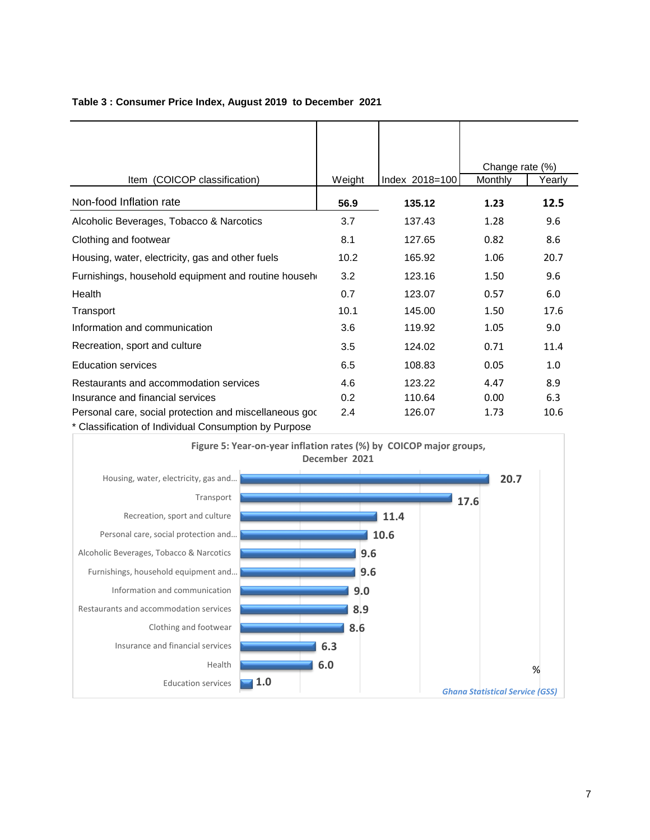|                                                        |        |                | Change rate (%) |        |
|--------------------------------------------------------|--------|----------------|-----------------|--------|
| (COICOP classification)<br>Item                        | Weight | Index 2018=100 | Monthly         | Yearly |
| Non-food Inflation rate                                | 56.9   | 135.12         | 1.23            | 12.5   |
| Alcoholic Beverages, Tobacco & Narcotics               | 3.7    | 137.43         | 1.28            | 9.6    |
| Clothing and footwear                                  | 8.1    | 127.65         | 0.82            | 8.6    |
| Housing, water, electricity, gas and other fuels       | 10.2   | 165.92         | 1.06            | 20.7   |
| Furnishings, household equipment and routine househ    | 3.2    | 123.16         | 1.50            | 9.6    |
| Health                                                 | 0.7    | 123.07         | 0.57            | 6.0    |
| Transport                                              | 10.1   | 145.00         | 1.50            | 17.6   |
| Information and communication                          | 3.6    | 119.92         | 1.05            | 9.0    |
| Recreation, sport and culture                          | 3.5    | 124.02         | 0.71            | 11.4   |
| <b>Education services</b>                              | 6.5    | 108.83         | 0.05            | 1.0    |
| Restaurants and accommodation services                 | 4.6    | 123.22         | 4.47            | 8.9    |
| Insurance and financial services                       | 0.2    | 110.64         | 0.00            | 6.3    |
| Personal care, social protection and miscellaneous god | 2.4    | 126.07         | 1.73            | 10.6   |
| * Classification of Individual Consumption by Purpose  |        |                |                 |        |

#### **Table 3 : Consumer Price Index, August 2019 to December 2021**

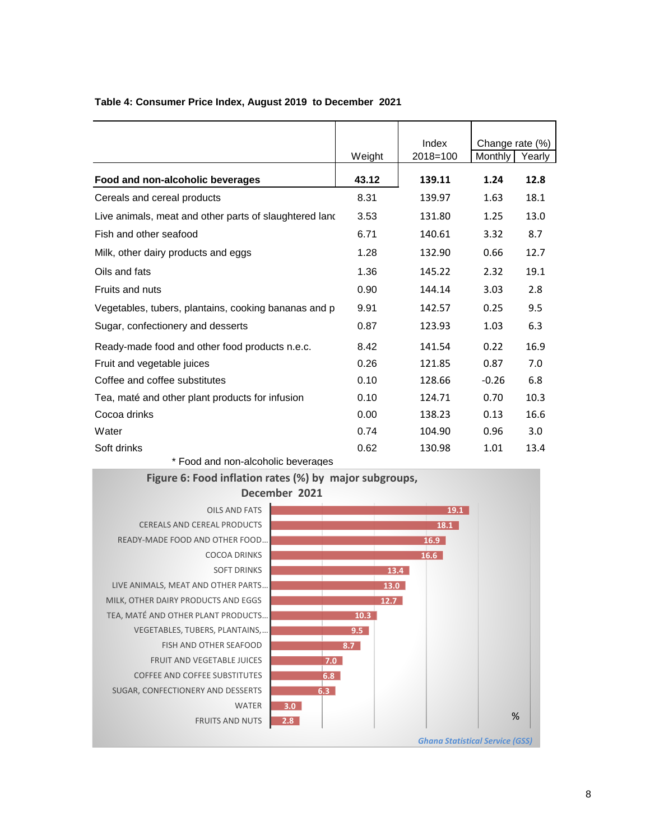|                                                        |        | Index    | Change rate (%) |        |
|--------------------------------------------------------|--------|----------|-----------------|--------|
|                                                        | Weight | 2018=100 | Monthly         | Yearly |
| Food and non-alcoholic beverages                       | 43.12  | 139.11   | 1.24            | 12.8   |
| Cereals and cereal products                            | 8.31   | 139.97   | 1.63            | 18.1   |
| Live animals, meat and other parts of slaughtered land | 3.53   | 131.80   | 1.25            | 13.0   |
| Fish and other seafood                                 | 6.71   | 140.61   | 3.32            | 8.7    |
| Milk, other dairy products and eggs                    | 1.28   | 132.90   | 0.66            | 12.7   |
| Oils and fats                                          | 1.36   | 145.22   | 2.32            | 19.1   |
| <b>Fruits and nuts</b>                                 | 0.90   | 144.14   | 3.03            | 2.8    |
| Vegetables, tubers, plantains, cooking bananas and p   | 9.91   | 142.57   | 0.25            | 9.5    |
| Sugar, confectionery and desserts                      | 0.87   | 123.93   | 1.03            | 6.3    |
| Ready-made food and other food products n.e.c.         | 8.42   | 141.54   | 0.22            | 16.9   |
| Fruit and vegetable juices                             | 0.26   | 121.85   | 0.87            | 7.0    |
| Coffee and coffee substitutes                          | 0.10   | 128.66   | $-0.26$         | 6.8    |
| Tea, maté and other plant products for infusion        | 0.10   | 124.71   | 0.70            | 10.3   |
| Cocoa drinks                                           | 0.00   | 138.23   | 0.13            | 16.6   |
| Water                                                  | 0.74   | 104.90   | 0.96            | 3.0    |
| Soft drinks                                            | 0.62   | 130.98   | 1.01            | 13.4   |

### **Table 4: Consumer Price Index, August 2019 to December 2021**

\* Food and non-alcoholic beverages

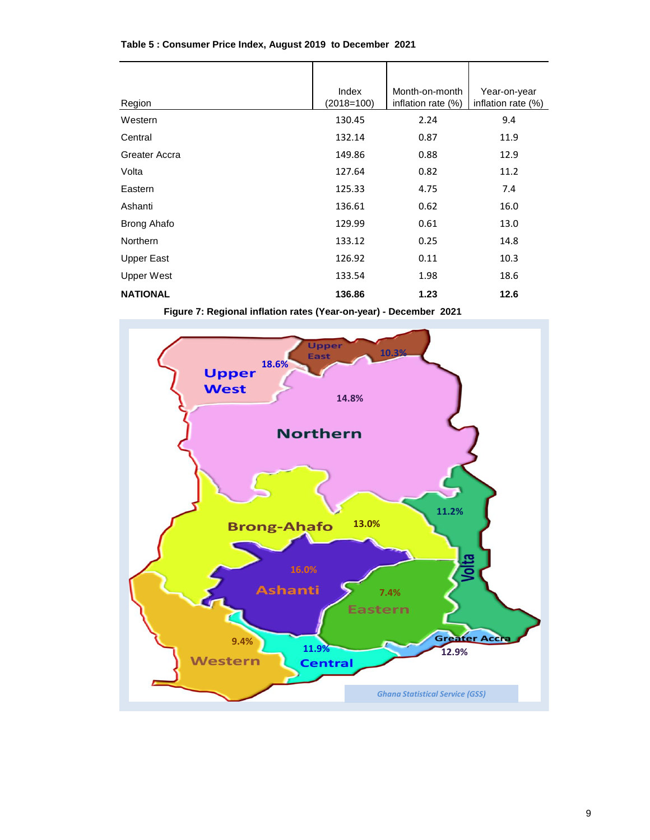| Region            | Index<br>$(2018=100)$ | Month-on-month<br>inflation rate (%) | Year-on-year<br>inflation rate (%) |
|-------------------|-----------------------|--------------------------------------|------------------------------------|
| Western           | 130.45                | 2.24                                 | 9.4                                |
| Central           | 132.14                | 0.87                                 | 11.9                               |
| Greater Accra     | 149.86                | 0.88                                 | 12.9                               |
| Volta             | 127.64                | 0.82                                 | 11.2                               |
| Eastern           | 125.33                | 4.75                                 | 7.4                                |
| Ashanti           | 136.61                | 0.62                                 | 16.0                               |
| Brong Ahafo       | 129.99                | 0.61                                 | 13.0                               |
| Northern          | 133.12                | 0.25                                 | 14.8                               |
| <b>Upper East</b> | 126.92                | 0.11                                 | 10.3                               |
| <b>Upper West</b> | 133.54                | 1.98                                 | 18.6                               |
| <b>NATIONAL</b>   | 136.86                | 1.23                                 | 12.6                               |

#### **Table 5 : Consumer Price Index, August 2019 to December 2021**

 **Figure 7: Regional inflation rates (Year-on-year) - December 2021**